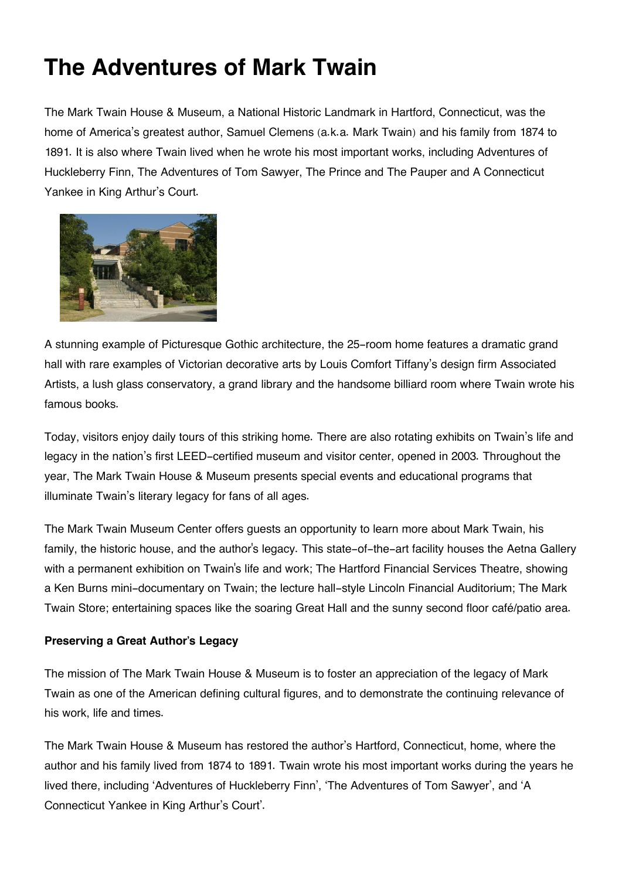## **The Adventures of Mark Twain**

The Mark Twain House & Museum, a National Historic Landmark in Hartford, Connecticut, was the home of America's greatest author, Samuel Clemens (a.k.a. Mark Twain) and his family from 1874 to 1891. It is also where Twain lived when he wrote his most important works, including Adventures of Huckleberry Finn, The Adventures of Tom Sawyer, The Prince and The Pauper and A Connecticut Yankee in King Arthur's Court.



A stunning example of Picturesque Gothic architecture, the 25-room home features a dramatic grand hall with rare examples of Victorian decorative arts by Louis Comfort Tiffany's design firm Associated Artists, a lush glass conservatory, a grand library and the handsome billiard room where Twain wrote his famous books.

Today, visitors enjoy daily tours of this striking home. There are also rotating exhibits on Twain's life and legacy in the nation's first LEED-certified museum and visitor center, opened in 2003. Throughout the year, The Mark Twain House & Museum presents special events and educational programs that illuminate Twain's literary legacy for fans of all ages.

The Mark Twain Museum Center offers guests an opportunity to learn more about Mark Twain, his family, the historic house, and the author's legacy. This state-of-the-art facility houses the Aetna Gallery with a permanent exhibition on Twain's life and work; The Hartford Financial Services Theatre, showing a Ken Burns mini-documentary on Twain; the lecture hall-style Lincoln Financial Auditorium; The Mark Twain Store; entertaining spaces like the soaring Great Hall and the sunny second floor café/patio area.

## **Preserving a Great Author's Legacy**

The mission of The Mark Twain House & Museum is to foster an appreciation of the legacy of Mark Twain as one of the American defining cultural figures, and to demonstrate the continuing relevance of his work, life and times.

The Mark Twain House & Museum has restored the author's Hartford, Connecticut, home, where the author and his family lived from 1874 to 1891. Twain wrote his most important works during the years he lived there, including 'Adventures of Huckleberry Finn', 'The Adventures of Tom Sawyer', and 'A Connecticut Yankee in King Arthur's Court'.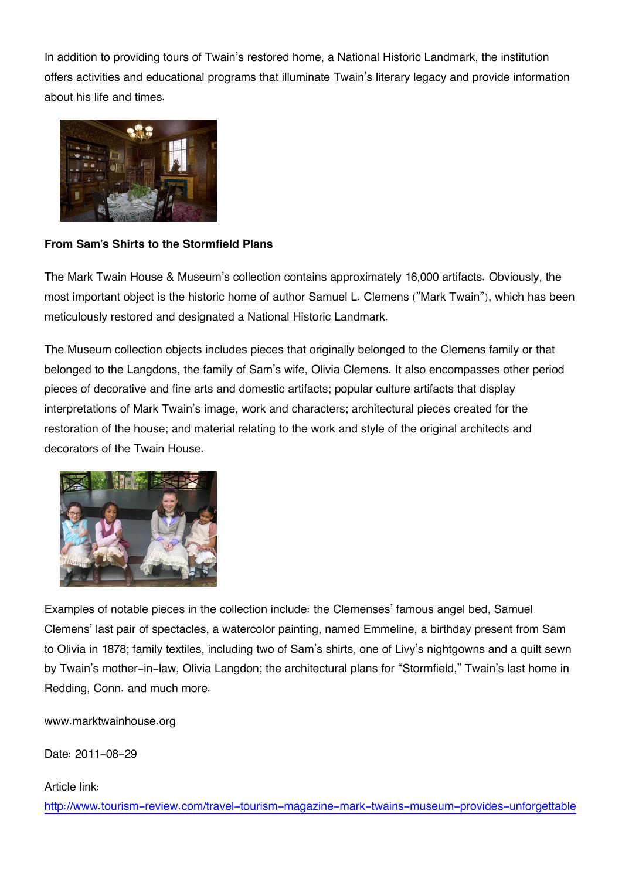In addition to providing tours of Twain's restored home, a National Historic Landmark, the institution offers activities and educational programs that illuminate Twain's literary legacy and provide information about his life and times.



## **From Sam's Shirts to the Stormfield Plans**

The Mark Twain House & Museum's collection contains approximately 16,000 artifacts. Obviously, the most important object is the historic home of author Samuel L. Clemens ("Mark Twain"), which has been meticulously restored and designated a National Historic Landmark.

The Museum collection objects includes pieces that originally belonged to the Clemens family or that belonged to the Langdons, the family of Sam's wife, Olivia Clemens. It also encompasses other period pieces of decorative and fine arts and domestic artifacts; popular culture artifacts that display interpretations of Mark Twain's image, work and characters; architectural pieces created for the restoration of the house; and material relating to the work and style of the original architects and decorators of the Twain House.



Examples of notable pieces in the collection include: the Clemenses' famous angel bed, Samuel Clemens' last pair of spectacles, a watercolor painting, named Emmeline, a birthday present from Sam to Olivia in 1878; family textiles, including two of Sam's shirts, one of Livy's nightgowns and a quilt sewn by Twain's mother-in-law, Olivia Langdon; the architectural plans for "Stormfield," Twain's last home in Redding, Conn. and much more.

www.marktwainhouse.org

Date: 2011-08-29

## Article link:

[http://www.tourism-review.com/travel-tourism-magazine-mark-twains-museum-provides-unforgettable](http://www.tourism-review.com/travel-tourism-magazine-mark-twains-museum-provides-unforgettable-experience-article1588)